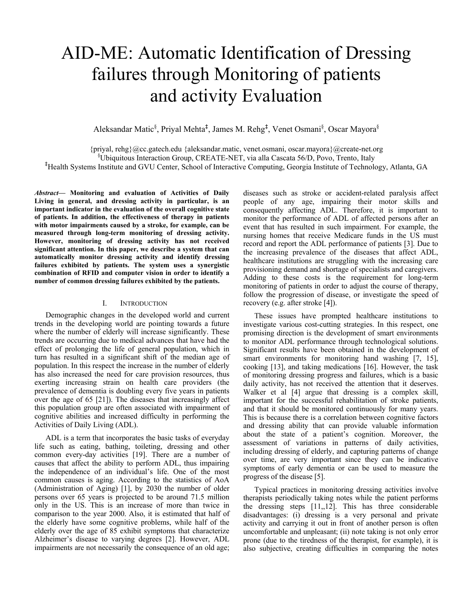# AID-ME: Automatic Identification of Dressing failures through Monitoring of patients and activity Evaluation

Aleksandar Matic<sup>§</sup>, Priyal Mehta<sup>‡</sup>, James M. Rehg<sup>‡</sup>, Venet Osmani<sup>§</sup>, Oscar Mayora<sup>§</sup>

{priyal, rehg}@cc.gatech.edu {aleksandar.matic, venet.osmani, oscar.mayora}@create-net.org

§ Ubiquitous Interaction Group, CREATE-NET, via alla Cascata 56/D, Povo, Trento, Italy ‡

Health Systems Institute and GVU Center, School of Interactive Computing, Georgia Institute of Technology, Atlanta, GA

*Abstract***— Monitoring and evaluation of Activities of Daily Living in general, and dressing activity in particular, is an important indicator in the evaluation of the overall cognitive state of patients. In addition, the effectiveness of therapy in patients with motor impairments caused by a stroke, for example, can be measured through long-term monitoring of dressing activity. However, monitoring of dressing activity has not received significant attention. In this paper, we describe a system that can automatically monitor dressing activity and identify dressing failures exhibited by patients. The system uses a synergistic combination of RFID and computer vision in order to identify a number of common dressing failures exhibited by the patients.** 

## I. INTRODUCTION

Demographic changes in the developed world and current trends in the developing world are pointing towards a future where the number of elderly will increase significantly. These trends are occurring due to medical advances that have had the effect of prolonging the life of general population, which in turn has resulted in a significant shift of the median age of population. In this respect the increase in the number of elderly has also increased the need for care provision resources, thus exerting increasing strain on health care providers (the prevalence of dementia is doubling every five years in patients over the age of 65 [21]). The diseases that increasingly affect this population group are often associated with impairment of cognitive abilities and increased difficulty in performing the Activities of Daily Living (ADL).

ADL is a term that incorporates the basic tasks of everyday life such as eating, bathing, toileting, dressing and other common every-day activities [19]. There are a number of causes that affect the ability to perform ADL, thus impairing the independence of an individual's life. One of the most common causes is aging. According to the statistics of AoA (Administration of Aging) [1], by 2030 the number of older persons over 65 years is projected to be around 71.5 million only in the US. This is an increase of more than twice in comparison to the year 2000. Also, it is estimated that half of the elderly have some cognitive problems, while half of the elderly over the age of 85 exhibit symptoms that characterize Alzheimer's disease to varying degrees [2]. However, ADL impairments are not necessarily the consequence of an old age;

diseases such as stroke or accident-related paralysis affect people of any age, impairing their motor skills and consequently affecting ADL. Therefore, it is important to monitor the performance of ADL of affected persons after an event that has resulted in such impairment. For example, the nursing homes that receive Medicare funds in the US must record and report the ADL performance of patients [3]. Due to the increasing prevalence of the diseases that affect ADL, healthcare institutions are struggling with the increasing care provisioning demand and shortage of specialists and caregivers. Adding to these costs is the requirement for long-term monitoring of patients in order to adjust the course of therapy, follow the progression of disease, or investigate the speed of recovery (e.g. after stroke [4]).

These issues have prompted healthcare institutions to investigate various cost-cutting strategies. In this respect, one promising direction is the development of smart environments to monitor ADL performance through technological solutions. Significant results have been obtained in the development of smart environments for monitoring hand washing [7, 15], cooking [13], and taking medications [16]. However, the task of monitoring dressing progress and failures, which is a basic daily activity, has not received the attention that it deserves. Walker et al [4] argue that dressing is a complex skill, important for the successful rehabilitation of stroke patients, and that it should be monitored continuously for many years. This is because there is a correlation between cognitive factors and dressing ability that can provide valuable information about the state of a patient's cognition. Moreover, the assessment of variations in patterns of daily activities, including dressing of elderly, and capturing patterns of change over time, are very important since they can be indicative symptoms of early dementia or can be used to measure the progress of the disease [5].

Typical practices in monitoring dressing activities involve therapists periodically taking notes while the patient performs the dressing steps [11,,12]. This has three considerable disadvantages: (i) dressing is a very personal and private activity and carrying it out in front of another person is often uncomfortable and unpleasant; (ii) note taking is not only error prone (due to the tiredness of the therapist, for example), it is also subjective, creating difficulties in comparing the notes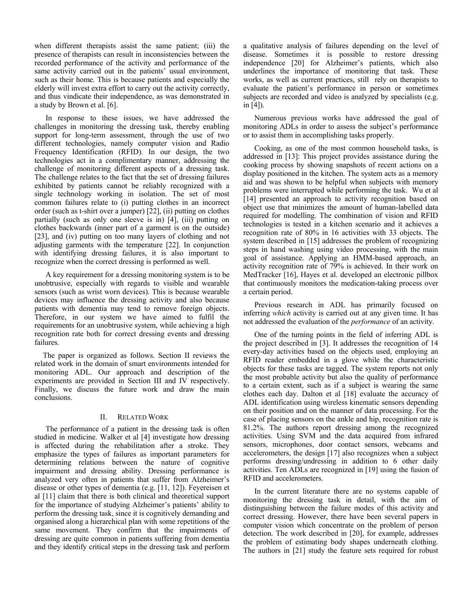when different therapists assist the same patient; (iii) the presence of therapists can result in inconsistencies between the recorded performance of the activity and performance of the same activity carried out in the patients' usual environment, such as their home. This is because patients and especially the elderly will invest extra effort to carry out the activity correctly, and thus vindicate their independence, as was demonstrated in a study by Brown et al. [6].

In response to these issues, we have addressed the challenges in monitoring the dressing task, thereby enabling support for long-term assessment, through the use of two different technologies, namely computer vision and Radio Frequency Identification (RFID). In our design, the two technologies act in a complimentary manner, addressing the challenge of monitoring different aspects of a dressing task. The challenge relates to the fact that the set of dressing failures exhibited by patients cannot be reliably recognized with a single technology working in isolation. The set of most common failures relate to (i) putting clothes in an incorrect order (such as t-shirt over a jumper) [22], (ii) putting on clothes partially (such as only one sleeve is in) [4], (iii) putting on clothes backwards (inner part of a garment is on the outside) [23], and (iv) putting on too many layers of clothing and not adjusting garments with the temperature [22]. In conjunction with identifying dressing failures, it is also important to recognize when the correct dressing is performed as well.

A key requirement for a dressing monitoring system is to be unobtrusive, especially with regards to visible and wearable sensors (such as wrist worn devices). This is because wearable devices may influence the dressing activity and also because patients with dementia may tend to remove foreign objects. Therefore, in our system we have aimed to fulfil the requirements for an unobtrusive system, while achieving a high recognition rate both for correct dressing events and dressing failures.

The paper is organized as follows. Section II reviews the related work in the domain of smart environments intended for monitoring ADL. Our approach and description of the experiments are provided in Section III and IV respectively. Finally, we discuss the future work and draw the main conclusions.

## II. RELATED WORK

The performance of a patient in the dressing task is often studied in medicine. Walker et al [4] investigate how dressing is affected during the rehabilitation after a stroke. They emphasize the types of failures as important parameters for determining relations between the nature of cognitive impairment and dressing ability. Dressing performance is analyzed very often in patients that suffer from Alzheimer's disease or other types of dementia (e.g. [11, 12]). Feyereisen et al [11] claim that there is both clinical and theoretical support for the importance of studying Alzheimer's patients' ability to perform the dressing task, since it is cognitively demanding and organised along a hierarchical plan with some repetitions of the same movement. They confirm that the impairments of dressing are quite common in patients suffering from dementia and they identify critical steps in the dressing task and perform

a qualitative analysis of failures depending on the level of disease. Sometimes it is possible to restore dressing independence [20] for Alzheimer's patients, which also underlines the importance of monitoring that task. These works, as well as current practices, still rely on therapists to evaluate the patient's performance in person or sometimes subjects are recorded and video is analyzed by specialists (e.g. in [4]).

Numerous previous works have addressed the goal of monitoring ADLs in order to assess the subject's performance or to assist them in accomplishing tasks properly.

Cooking, as one of the most common household tasks, is addressed in [13]: This project provides assistance during the cooking process by showing snapshots of recent actions on a display positioned in the kitchen. The system acts as a memory aid and was shown to be helpful when subjects with memory problems were interrupted while performing the task. Wu et al [14] presented an approach to activity recognition based on object use that minimizes the amount of human-labelled data required for modelling. The combination of vision and RFID technologies is tested in a kitchen scenario and it achieves a recognition rate of 80% in 16 activities with 33 objects. The system described in [15] addresses the problem of recognizing steps in hand washing using video processing, with the main goal of assistance. Applying an HMM-based approach, an activity recognition rate of 79% is achieved. In their work on MedTracker [16], Hayes et al. developed an electronic pillbox that continuously monitors the medication-taking process over a certain period.

Previous research in ADL has primarily focused on inferring *which* activity is carried out at any given time. It has not addressed the evaluation of the *performance* of an activity.

One of the turning points in the field of inferring ADL is the project described in [3]. It addresses the recognition of 14 every-day activities based on the objects used, employing an RFID reader embedded in a glove while the characteristic objects for these tasks are tagged. The system reports not only the most probable activity but also the quality of performance to a certain extent, such as if a subject is wearing the same clothes each day. Dalton et al [18] evaluate the accuracy of ADL identification using wireless kinematic sensors depending on their position and on the manner of data processing. For the case of placing sensors on the ankle and hip, recognition rate is 81.2%. The authors report dressing among the recognized activities. Using SVM and the data acquired from infrared sensors, microphones, door contact sensors, webcams and accelerometers, the design [17] also recognizes when a subject performs dressing/undressing in addition to 6 other daily activities. Ten ADLs are recognized in [19] using the fusion of RFID and accelerometers.

In the current literature there are no systems capable of monitoring the dressing task in detail, with the aim of distinguishing between the failure modes of this activity and correct dressing. However, there have been several papers in computer vision which concentrate on the problem of person detection. The work described in [20], for example, addresses the problem of estimating body shapes underneath clothing. The authors in [21] study the feature sets required for robust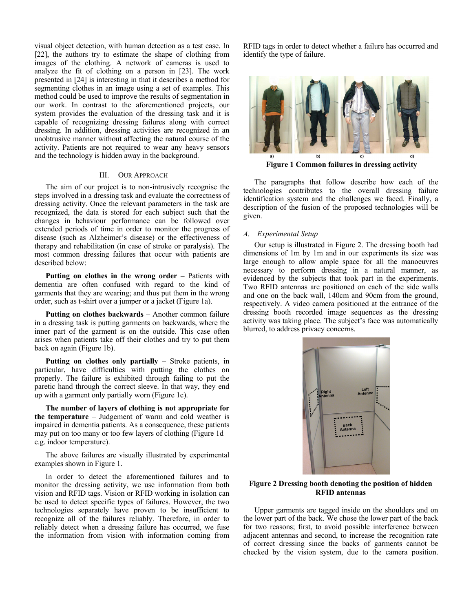visual object detection, with human detection as a test case. In [22], the authors try to estimate the shape of clothing from images of the clothing. A network of cameras is used to analyze the fit of clothing on a person in [23]. The work presented in [24] is interesting in that it describes a method for segmenting clothes in an image using a set of examples. This method could be used to improve the results of segmentation in our work. In contrast to the aforementioned projects, our system provides the evaluation of the dressing task and it is capable of recognizing dressing failures along with correct dressing. In addition, dressing activities are recognized in an unobtrusive manner without affecting the natural course of the activity. Patients are not required to wear any heavy sensors and the technology is hidden away in the background.

## III. OUR APPROACH

<span id="page-2-0"></span>The aim of our project is to non-intrusively recognise the steps involved in a dressing task and evaluate the correctness of dressing activity. Once the relevant parameters in the task are recognized, the data is stored for each subject such that the changes in behaviour performance can be followed over extended periods of time in order to monitor the progress of disease (such as Alzheimer's disease) or the effectiveness of therapy and rehabilitation (in case of stroke or paralysis). The most common dressing failures that occur with patients are described below:

**Putting on clothes in the wrong order** – Patients with dementia are often confused with regard to the kind of garments that they are wearing; and thus put them in the wrong order, such as t-shirt over a jumper or a jacket ([Figure 1a](#page-2-0)).

**Putting on clothes backwards** – Another common failure in a dressing task is putting garments on backwards, where the inner part of the garment is on the outside. This case often arises when patients take off their clothes and try to put them back on again [\(Figure 1](#page-2-0)b).

**Putting on clothes only partially** – Stroke patients, in particular, have difficulties with putting the clothes on properly. The failure is exhibited through failing to put the paretic hand through the correct sleeve. In that way, they end up with a garment only partially worn [\(Figure 1](#page-2-0)c).

**The number of layers of clothing is not appropriate for the temperature** – Judgement of warm and cold weather is impaired in dementia patients. As a consequence, these patients may put on too many or too few layers of clothing [\(Figure 1](#page-2-0)d – e.g. indoor temperature).

The above failures are visually illustrated by experimental examples shown in [Figure 1](#page-2-0).

<span id="page-2-1"></span>In order to detect the aforementioned failures and to monitor the dressing activity, we use information from both vision and RFID tags. Vision or RFID working in isolation can be used to detect specific types of failures. However, the two technologies separately have proven to be insufficient to recognize all of the failures reliably. Therefore, in order to reliably detect when a dressing failure has occurred, we fuse the information from vision with information coming from

RFID tags in order to detect whether a failure has occurred and identify the type of failure.



 **Figure 1 Common failures in dressing activity** 

The paragraphs that follow describe how each of the technologies contributes to the overall dressing failure identification system and the challenges we faced. Finally, a description of the fusion of the proposed technologies will be given.

## *A. Experimental Setup*

Our setup is illustrated in [Figure 2.](#page-2-1) The dressing booth had dimensions of 1m by 1m and in our experiments its size was large enough to allow ample space for all the manoeuvres necessary to perform dressing in a natural manner, as evidenced by the subjects that took part in the experiments. Two RFID antennas are positioned on each of the side walls and one on the back wall, 140cm and 90cm from the ground, respectively. A video camera positioned at the entrance of the dressing booth recorded image sequences as the dressing activity was taking place. The subject's face was automatically blurred, to address privacy concerns.



## **Figure 2 Dressing booth denoting the position of hidden RFID antennas**

Upper garments are tagged inside on the shoulders and on the lower part of the back. We chose the lower part of the back for two reasons; first, to avoid possible interference between adjacent antennas and second, to increase the recognition rate of correct dressing since the backs of garments cannot be checked by the vision system, due to the camera position.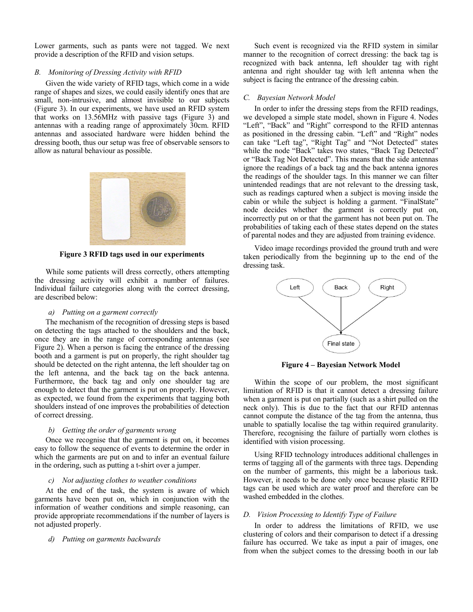Lower garments, such as pants were not tagged. We next provide a description of the RFID and vision setups.

## *B. Monitoring of Dressing Activity with RFID*

Given the wide variety of RFID tags, which come in a wide range of shapes and sizes, we could easily identify ones that are small, non-intrusive, and almost invisible to our subjects ([Figure 3\)](#page-3-0). In our experiments, we have used an RFID system that works on 13.56MHz with passive tags [\(Figure 3](#page-3-0)) and antennas with a reading range of approximately 30cm. RFID antennas and associated hardware were hidden behind the dressing booth, thus our setup was free of observable sensors to allow as natural behaviour as possible.



**Figure 3 RFID tags used in our experiments** 

<span id="page-3-0"></span>While some patients will dress correctly, others attempting the dressing activity will exhibit a number of failures. Individual failure categories along with the correct dressing, are described below:

## *a) Putting on a garment correctly*

<span id="page-3-1"></span>The mechanism of the recognition of dressing steps is based on detecting the tags attached to the shoulders and the back, once they are in the range of corresponding antennas (see [Figure 2](#page-2-1)). When a person is facing the entrance of the dressing booth and a garment is put on properly, the right shoulder tag should be detected on the right antenna, the left shoulder tag on the left antenna, and the back tag on the back antenna. Furthermore, the back tag and only one shoulder tag are enough to detect that the garment is put on properly. However, as expected, we found from the experiments that tagging both shoulders instead of one improves the probabilities of detection of correct dressing.

## *b) Getting the order of garments wrong*

Once we recognise that the garment is put on, it becomes easy to follow the sequence of events to determine the order in which the garments are put on and to infer an eventual failure in the ordering, such as putting a t-shirt over a jumper.

#### *c) Not adjusting clothes to weather conditions*

At the end of the task, the system is aware of which garments have been put on, which in conjunction with the information of weather conditions and simple reasoning, can provide appropriate recommendations if the number of layers is not adjusted properly.

## *d) Putting on garments backwards*

Such event is recognized via the RFID system in similar manner to the recognition of correct dressing: the back tag is recognized with back antenna, left shoulder tag with right antenna and right shoulder tag with left antenna when the subject is facing the entrance of the dressing cabin.

#### *C. Bayesian Network Model*

In order to infer the dressing steps from the RFID readings, we developed a simple state model, shown in [Figure 4](#page-3-1). Nodes "Left", "Back" and "Right" correspond to the RFID antennas as positioned in the dressing cabin. "Left" and "Right" nodes can take "Left tag", "Right Tag" and "Not Detected" states while the node "Back" takes two states, "Back Tag Detected" or "Back Tag Not Detected". This means that the side antennas ignore the readings of a back tag and the back antenna ignores the readings of the shoulder tags. In this manner we can filter unintended readings that are not relevant to the dressing task, such as readings captured when a subject is moving inside the cabin or while the subject is holding a garment. "FinalState" node decides whether the garment is correctly put on, incorrectly put on or that the garment has not been put on. The probabilities of taking each of these states depend on the states of parental nodes and they are adjusted from training evidence.

Video image recordings provided the ground truth and were taken periodically from the beginning up to the end of the dressing task.



**Figure 4 – Bayesian Network Model** 

Within the scope of our problem, the most significant limitation of RFID is that it cannot detect a dressing failure when a garment is put on partially (such as a shirt pulled on the neck only). This is due to the fact that our RFID antennas cannot compute the distance of the tag from the antenna, thus unable to spatially localise the tag within required granularity. Therefore, recognising the failure of partially worn clothes is identified with vision processing.

Using RFID technology introduces additional challenges in terms of tagging all of the garments with three tags. Depending on the number of garments, this might be a laborious task. However, it needs to be done only once because plastic RFID tags can be used which are water proof and therefore can be washed embedded in the clothes.

## *D. Vision Processing to Identify Type of Failure*

In order to address the limitations of RFID, we use clustering of colors and their comparison to detect if a dressing failure has occurred. We take as input a pair of images, one from when the subject comes to the dressing booth in our lab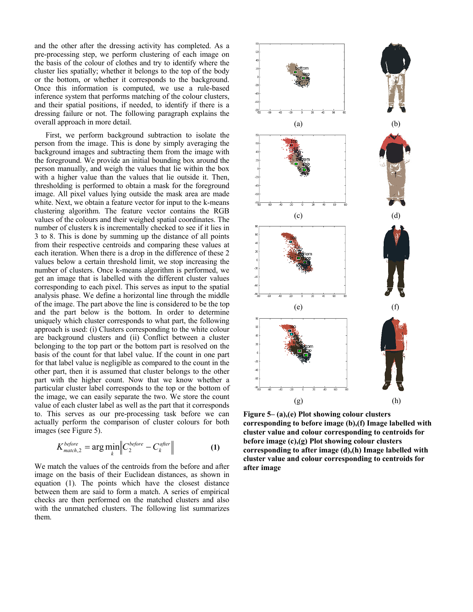and the other after the dressing activity has completed. As a pre-processing step, we perform clustering of each image on the basis of the colour of clothes and try to identify where the cluster lies spatially; whether it belongs to the top of the body or the bottom, or whether it corresponds to the background. Once this information is computed, we use a rule-based inference system that performs matching of the colour clusters, and their spatial positions, if needed, to identify if there is a dressing failure or not. The following paragraph explains the overall approach in more detail.

First, we perform background subtraction to isolate the person from the image. This is done by simply averaging the background images and subtracting them from the image with the foreground. We provide an initial bounding box around the person manually, and weigh the values that lie within the box with a higher value than the values that lie outside it. Then, thresholding is performed to obtain a mask for the foreground image. All pixel values lying outside the mask area are made white. Next, we obtain a feature vector for input to the k-means clustering algorithm. The feature vector contains the RGB values of the colours and their weighed spatial coordinates. The number of clusters k is incrementally checked to see if it lies in 3 to 8. This is done by summing up the distance of all points from their respective centroids and comparing these values at each iteration. When there is a drop in the difference of these 2 values below a certain threshold limit, we stop increasing the number of clusters. Once k-means algorithm is performed, we get an image that is labelled with the different cluster values corresponding to each pixel. This serves as input to the spatial analysis phase. We define a horizontal line through the middle of the image. The part above the line is considered to be the top and the part below is the bottom. In order to determine uniquely which cluster corresponds to what part, the following approach is used: (i) Clusters corresponding to the white colour are background clusters and (ii) Conflict between a cluster belonging to the top part or the bottom part is resolved on the basis of the count for that label value. If the count in one part for that label value is negligible as compared to the count in the other part, then it is assumed that cluster belongs to the other part with the higher count. Now that we know whether a particular cluster label corresponds to the top or the bottom of the image, we can easily separate the two. We store the count value of each cluster label as well as the part that it corresponds to. This serves as our pre-processing task before we can actually perform the comparison of cluster colours for both images (see [Figure 5\)](#page-4-0).

$$
K_{match,2}^{before} = \arg\min_{k} \left\| C_2^{before} - C_k^{after} \right\| \tag{1}
$$

<span id="page-4-0"></span>We match the values of the centroids from the before and after **after image** image on the basis of their Euclidean distances, as shown in equation (1). The points which have the closest distance between them are said to form a match. A series of empirical checks are then performed on the matched clusters and also with the unmatched clusters. The following list summarizes them.



**Figure 5– (a),(e) Plot showing colour clusters corresponding to before image (b),(f) Image labelled with cluster value and colour corresponding to centroids for before image (c),(g) Plot showing colour clusters corresponding to after image (d),(h) Image labelled with cluster value and colour corresponding to centroids for**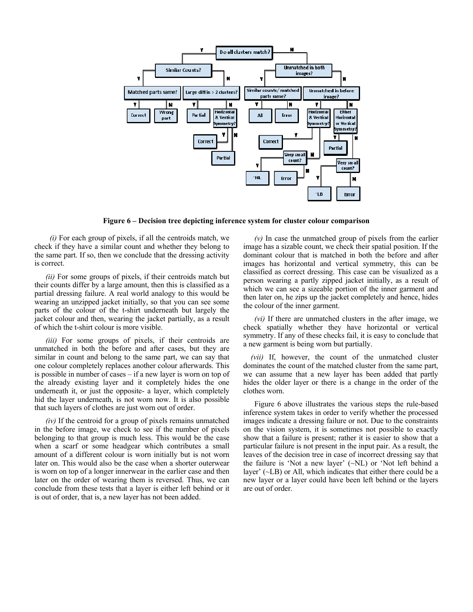

**Figure 6 – Decision tree depicting inference system for cluster colour comparison** 

 *(i)* For each group of pixels, if all the centroids match, we check if they have a similar count and whether they belong to the same part. If so, then we conclude that the dressing activity is correct.

*(ii)* For some groups of pixels, if their centroids match but their counts differ by a large amount, then this is classified as a partial dressing failure. A real world analogy to this would be wearing an unzipped jacket initially, so that you can see some parts of the colour of the t-shirt underneath but largely the jacket colour and then, wearing the jacket partially, as a result of which the t-shirt colour is more visible.

*(iii)* For some groups of pixels, if their centroids are unmatched in both the before and after cases, but they are similar in count and belong to the same part, we can say that one colour completely replaces another colour afterwards. This is possible in number of cases – if a new layer is worn on top of the already existing layer and it completely hides the one underneath it, or just the opposite- a layer, which completely hid the layer underneath, is not worn now. It is also possible that such layers of clothes are just worn out of order.

*(iv)* If the centroid for a group of pixels remains unmatched in the before image, we check to see if the number of pixels belonging to that group is much less. This would be the case when a scarf or some headgear which contributes a small amount of a different colour is worn initially but is not worn later on. This would also be the case when a shorter outerwear is worn on top of a longer innerwear in the earlier case and then later on the order of wearing them is reversed. Thus, we can conclude from these tests that a layer is either left behind or it is out of order, that is, a new layer has not been added.

 $(v)$  In case the unmatched group of pixels from the earlier image has a sizable count, we check their spatial position. If the dominant colour that is matched in both the before and after images has horizontal and vertical symmetry, this can be classified as correct dressing. This case can be visualized as a person wearing a partly zipped jacket initially, as a result of which we can see a sizeable portion of the inner garment and then later on, he zips up the jacket completely and hence, hides the colour of the inner garment.

*(vi)* If there are unmatched clusters in the after image, we check spatially whether they have horizontal or vertical symmetry. If any of these checks fail, it is easy to conclude that a new garment is being worn but partially.

 *(vii)* If, however, the count of the unmatched cluster dominates the count of the matched cluster from the same part, we can assume that a new layer has been added that partly hides the older layer or there is a change in the order of the clothes worn.

Figure 6 above illustrates the various steps the rule-based inference system takes in order to verify whether the processed images indicate a dressing failure or not. Due to the constraints on the vision system, it is sometimes not possible to exactly show that a failure is present; rather it is easier to show that a particular failure is not present in the input pair. As a result, the leaves of the decision tree in case of incorrect dressing say that the failure is 'Not a new layer' (~NL) or 'Not left behind a layer' (~LB) or All, which indicates that either there could be a new layer or a layer could have been left behind or the layers are out of order.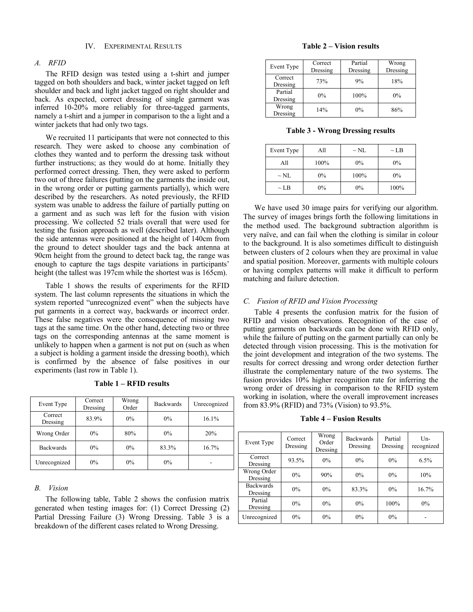#### IV. EXPERIMENTAL RESULTS

## <span id="page-6-1"></span>*A. RFID*

The RFID design was tested using a t-shirt and jumper tagged on both shoulders and back, winter jacket tagged on left shoulder and back and light jacket tagged on right shoulder and back. As expected, correct dressing of single garment was inferred 10-20% more reliably for three-tagged garments, namely a t-shirt and a jumper in comparison to the a light and a winter jackets that had only two tags.

<span id="page-6-2"></span>We recruited 11 participants that were not connected to this research. They were asked to choose any combination of clothes they wanted and to perform the dressing task without further instructions; as they would do at home. Initially they performed correct dressing. Then, they were asked to perform two out of three failures (putting on the garments the inside out, in the wrong order or putting garments partially), which were described by the researchers. As noted previously, the RFID system was unable to address the failure of partially putting on a garment and as such was left for the fusion with vision processing. We collected 52 trials overall that were used for testing the fusion approach as well (described later). Although the side antennas were positioned at the height of 140cm from the ground to detect shoulder tags and the back antenna at 90cm height from the ground to detect back tag, the range was enough to capture the tags despite variations in participants' height (the tallest was 197cm while the shortest was is 165cm).

[Table 1](#page-6-0) shows the results of experiments for the RFID system. The last column represents the situations in which the system reported "unrecognized event" when the subjects have put garments in a correct way, backwards or incorrect order. These false negatives were the consequence of missing two tags at the same time. On the other hand, detecting two or three tags on the corresponding antennas at the same moment is unlikely to happen when a garment is not put on (such as when a subject is holding a garment inside the dressing booth), which is confirmed by the absence of false positives in our experiments (last row in [Table 1\)](#page-6-0).

<span id="page-6-3"></span><span id="page-6-0"></span>

| Event Type          | Correct<br>Dressing | Wrong<br>Order | <b>Backwards</b> | Unrecognized |
|---------------------|---------------------|----------------|------------------|--------------|
| Correct<br>Dressing | 83.9%               | $0\%$<br>$0\%$ |                  | 16.1%        |
| Wrong Order         | $0\%$               | 80%            | $0\%$            | 20%          |
| <b>Backwards</b>    | $0\%$               | $0\%$          | 83.3%            | 16.7%        |
| Unrecognized        | $0\%$               | $0\%$          | $0\%$            |              |

#### **Table 1 – RFID results**

#### *B. Vision*

The following table, [Table 2](#page-6-1) shows the confusion matrix generated when testing images for: (1) Correct Dressing (2) Partial Dressing Failure (3) Wrong Dressing. [Table 3](#page-6-2) is a breakdown of the different cases related to Wrong Dressing.

#### **Table 2 – Vision results**

| Event Type | Correct  | Partial  | Wrong    |  |
|------------|----------|----------|----------|--|
|            | Dressing | Dressing | Dressing |  |
| Correct    | 73%      | 9%       | 18%      |  |
| Dressing   |          |          |          |  |
| Partial    | $0\%$    | 100%     | $0\%$    |  |
| Dressing   |          |          |          |  |
| Wrong      | 14%      | $0\%$    | 86%      |  |
| Dressing   |          |          |          |  |

#### **Table 3 - Wrong Dressing results**

| Event Type | All   | $\sim$ NL | $\sim$ LB |
|------------|-------|-----------|-----------|
| All        | 100%  | $0\%$     | $0\%$     |
| $\sim$ NL  | $0\%$ | 100%      | $0\%$     |
| $\sim$ LB  | $0\%$ | $0\%$     | 100%      |

We have used 30 image pairs for verifying our algorithm. The survey of images brings forth the following limitations in the method used. The background subtraction algorithm is very naïve, and can fail when the clothing is similar in colour to the background. It is also sometimes difficult to distinguish between clusters of 2 colours when they are proximal in value and spatial position. Moreover, garments with multiple colours or having complex patterns will make it difficult to perform matching and failure detection.

## *C. Fusion of RFID and Vision Processing*

[Table 4](#page-6-3) presents the confusion matrix for the fusion of RFID and vision observations. Recognition of the case of putting garments on backwards can be done with RFID only, while the failure of putting on the garment partially can only be detected through vision processing. This is the motivation for the joint development and integration of the two systems. The results for correct dressing and wrong order detection further illustrate the complementary nature of the two systems. The fusion provides 10% higher recognition rate for inferring the wrong order of dressing in comparison to the RFID system working in isolation, where the overall improvement increases from 83.9% (RFID) and 73% (Vision) to 93.5%.

**Table 4 – Fusion Results** 

| Event Type                   | Correct<br>Dressing | Wrong<br>Order<br>Dressing | <b>Backwards</b><br>Dressing | Partial<br>Dressing | $Um-$<br>recognized |
|------------------------------|---------------------|----------------------------|------------------------------|---------------------|---------------------|
| Correct<br>Dressing          | 93.5%               | $0\%$                      | $0\%$                        | $0\%$               | 6.5%                |
| Wrong Order<br>Dressing      | $0\%$               | 90%                        | $0\%$                        | $0\%$               | 10%                 |
| <b>Backwards</b><br>Dressing | $0\%$               | $0\%$                      | 83.3%                        | $0\%$               | 16.7%               |
| Partial<br>Dressing          | $0\%$               | $0\%$                      | $0\%$                        | 100%                | $0\%$               |
| Unrecognized                 | $0\%$               | $0\%$                      | $0\%$                        | $0\%$               |                     |